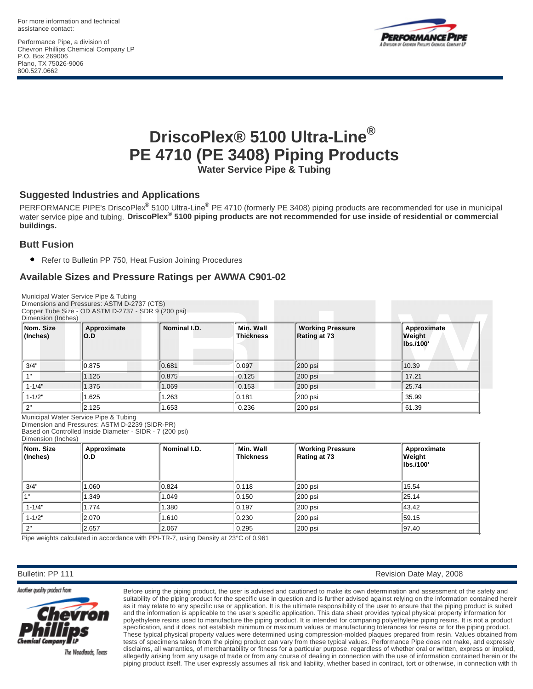For more information and technical assistance contact:

Performance Pipe, a division of Chevron Phillips Chemical Company LP P.O. Box 269006 Plano, TX 75026-9006 800.527.0662



# **® DriscoPlex® 5100 Ultra-Line PE 4710 (PE 3408) Piping Products**

**Water Service Pipe & Tubing**

## **Suggested Industries and Applications**

PERFORMANCE PIPE's DriscoPlex<sup>®</sup> 5100 Ultra-Line<sup>®</sup> PE 4710 (formerly PE 3408) piping products are recommended for use in municipal<br>water service pipe and tubing. Dri**scoPlex<sup>®</sup> 5100 piping products are not recommended for buildings.**

### **Butt Fusion**

● Refer to Bulletin PP 750, Heat Fusion Joining Procedures

## **Available Sizes and Pressure Ratings per AWWA C901-02**

| Dimension (Inches)    | Municipal Water Service Pipe & Tubing<br>Dimensions and Pressures: ASTM D-2737 (CTS)<br>Copper Tube Size - OD ASTM D-2737 - SDR 9 (200 psi)         |              |                               |                                         |                                    |
|-----------------------|-----------------------------------------------------------------------------------------------------------------------------------------------------|--------------|-------------------------------|-----------------------------------------|------------------------------------|
| Nom. Size<br>(Inches) | Approximate<br>O.D                                                                                                                                  | Nominal I.D. | Min. Wall<br><b>Thickness</b> | <b>Working Pressure</b><br>Rating at 73 | Approximate<br>Weight<br>lbs./100' |
| 3/4"                  | 0.875                                                                                                                                               | 0.681        | 0.097                         | 200 psi                                 | 10.39                              |
| 1"                    | 1.125                                                                                                                                               | 0.875        | 0.125                         | 200 psi                                 | 17.21                              |
| $1 - 1/4"$            | 1.375                                                                                                                                               | 1.069        | 0.153                         | 200 psi                                 | 25.74                              |
| $1 - 1/2"$            | 1.625                                                                                                                                               | 1.263        | 0.181                         | 200 psi                                 | 35.99                              |
| 2"                    | 2.125                                                                                                                                               | 1.653        | 0.236                         | 200 psi                                 | 61.39                              |
| Dimension (Inches)    | Municipal Water Service Pipe & Tubing<br>Dimension and Pressures: ASTM D-2239 (SIDR-PR)<br>Based on Controlled Inside Diameter - SIDR - 7 (200 psi) |              |                               |                                         |                                    |
| Nom. Size<br>(Inches) | Approximate<br>O.D                                                                                                                                  | Nominal I.D. | Min. Wall<br><b>Thickness</b> | <b>Working Pressure</b><br>Rating at 73 | Approximate<br>Weight<br>lbs./100' |

|      | .<br>$ $ (Inches) | O.D   |       | <br>Thickness | Rating at 73 | Weight<br>lbs./100' |
|------|-------------------|-------|-------|---------------|--------------|---------------------|
|      | 3/4"              | 060.1 | 0.824 | 0.118         | 200 psi      | 15.54               |
|      |                   | .349  | 1.049 | 0.150         | 200 psi      | 25.14               |
|      | $1 - 1/4"$        | .774  | 1.380 | 0.197         | 200 psi      | 43.42               |
|      | $1 - 1/2"$        | 2.070 | 1.610 | 0.230         | 200 psi      | 59.15               |
| יירי |                   | 2.657 | 2.067 | 0.295         | 200 psi      | 97.40               |

Pipe weights calculated in accordance with PPI-TR-7, using Density at 23°C of 0.961

Bulletin: PP 111 Revision Date May, 2008



The Woodlands, Texas

Before using the piping product, the user is advised and cautioned to make its own determination and assessment of the safety and suitability of the piping product for the specific use in question and is further advised against relying on the information contained hereir as it may relate to any specific use or application. It is the ultimate responsibility of the user to ensure that the piping product is suited and the information is applicable to the user's specific application. This data sheet provides typical physical property information for polyethylene resins used to manufacture the piping product. It is intended for comparing polyethylene piping resins. It is not a product specification, and it does not establish minimum or maximum values or manufacturing tolerances for resins or for the piping product. These typical physical property values were determined using compression-molded plaques prepared from resin. Values obtained from tests of specimens taken from the piping product can vary from these typical values. Performance Pipe does not make, and expressly disclaims, all warranties, of merchantability or fitness for a particular purpose, regardless of whether oral or written, express or implied, allegedly arising from any usage of trade or from any course of dealing in connection with the use of information contained herein or the piping product itself. The user expressly assumes all risk and liability, whether based in contract, tort or otherwise, in connection with the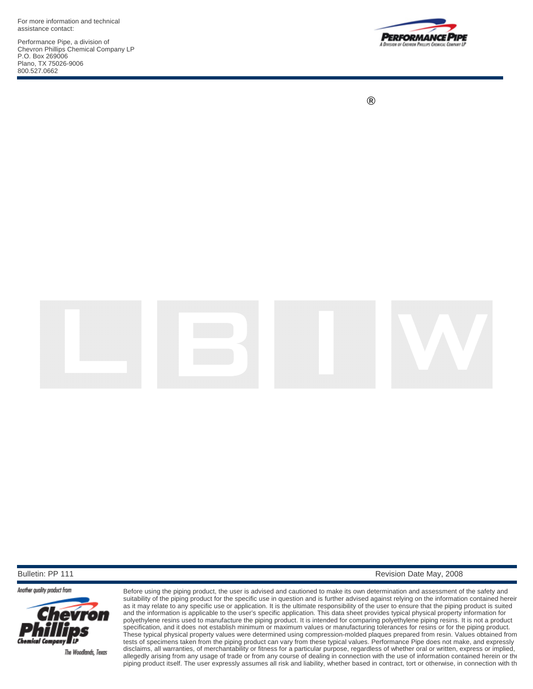For more information and technical assistance contact:

Performance Pipe, a division of Chevron Phillips Chemical Company LP P.O. Box 269006 Plano, TX 75026-9006 800.527.0662



**®**



Another quality product from



The Woodlands, Texas

Before using the piping product, the user is advised and cautioned to make its own determination and assessment of the safety and suitability of the piping product for the specific use in question and is further advised against relying on the information contained hereir as it may relate to any specific use or application. It is the ultimate responsibility of the user to ensure that the piping product is suited and the information is applicable to the user's specific application. This data sheet provides typical physical property information for polyethylene resins used to manufacture the piping product. It is intended for comparing polyethylene piping resins. It is not a product specification, and it does not establish minimum or maximum values or manufacturing tolerances for resins or for the piping product. These typical physical property values were determined using compression-molded plaques prepared from resin. Values obtained from tests of specimens taken from the piping product can vary from these typical values. Performance Pipe does not make, and expressly disclaims, all warranties, of merchantability or fitness for a particular purpose, regardless of whether oral or written, express or implied, allegedly arising from any usage of trade or from any course of dealing in connection with the use of information contained herein or the piping product itself. The user expressly assumes all risk and liability, whether based in contract, tort or otherwise, in connection with th

Bulletin: PP 111 **Revision Date May, 2008 Revision Date May, 2008**